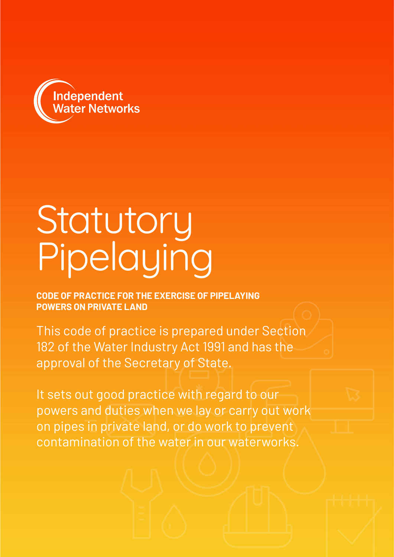

# Statutory Pipelaying

**CODE OF PRACTICE FOR THE EXERCISE OF PIPELAYING POWERS ON PRIVATE LAND**

This code of practice is prepared under Section 182 of the Water Industry Act 1991 and has the approval of the Secretary of State.

It sets out good practice with regard to our powers and duties when we lay or carry out work on pipes in private land, or do work to prevent contamination of the water in our waterworks.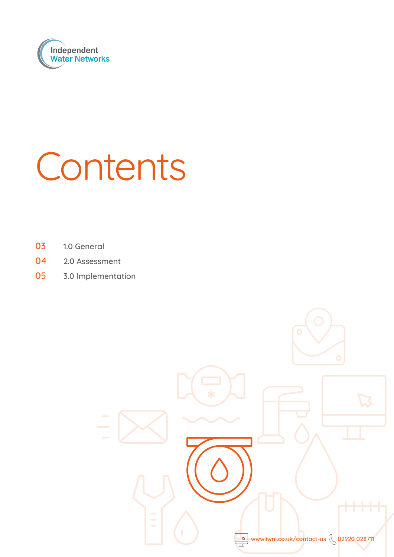

# Contents

- 1.0 General
- 2.0 Assessment
- 3.0 Implementation

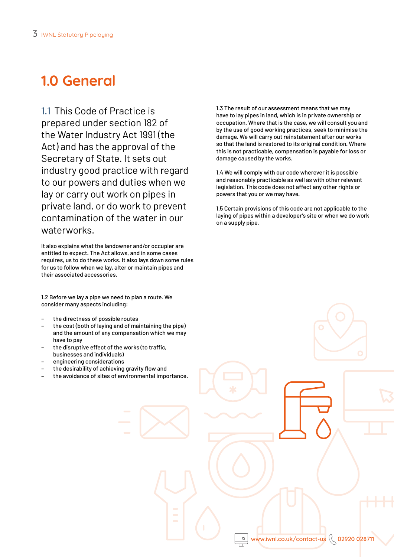# **1.0 General**

1.1 This Code of Practice is prepared under section 182 of the Water Industry Act 1991 (the Act) and has the approval of the Secretary of State. It sets out industry good practice with regard to our powers and duties when we lay or carry out work on pipes in private land, or do work to prevent contamination of the water in our waterworks.

It also explains what the landowner and/or occupier are entitled to expect. The Act allows, and in some cases requires, us to do these works. It also lays down some rules for us to follow when we lay, alter or maintain pipes and their associated accessories.

1.2 Before we lay a pipe we need to plan a route. We consider many aspects including:

- the directness of possible routes
- the cost (both of laying and of maintaining the pipe) and the amount of any compensation which we may have to pay
- the disruptive effect of the works (to traffic, businesses and individuals)
- engineering considerations
- the desirability of achieving gravity flow and
- the avoidance of sites of environmental importance.

1.3 The result of our assessment means that we may have to lay pipes in land, which is in private ownership or occupation. Where that is the case, we will consult you and by the use of good working practices, seek to minimise the damage. We will carry out reinstatement after our works so that the land is restored to its original condition. Where this is not practicable, compensation is payable for loss or damage caused by the works.

1.4 We will comply with our code wherever it is possible and reasonably practicable as well as with other relevant legislation. This code does not affect any other rights or powers that you or we may have.

1.5 Certain provisions of this code are not applicable to the laying of pipes within a developer's site or when we do work on a supply pipe.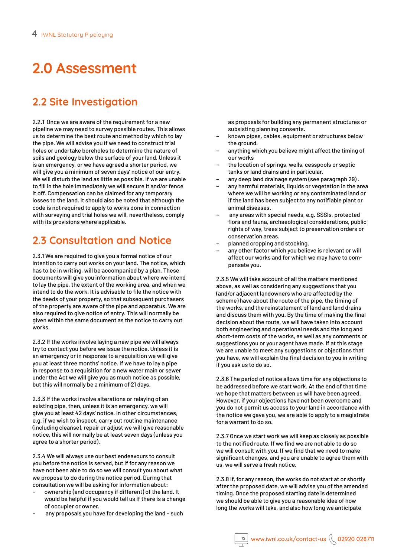# **2.0 Assessment**

# **2.2 Site Investigation**

2.2.1 Once we are aware of the requirement for a new pipeline we may need to survey possible routes. This allows us to determine the best route and method by which to lay the pipe. We will advise you if we need to construct trial holes or undertake boreholes to determine the nature of soils and geology below the surface of your land. Unless it is an emergency, or we have agreed a shorter period, we will give you a minimum of seven days' notice of our entry. We will disturb the land as little as possible. If we are unable to fill in the hole immediately we will secure it and/or fence it off. Compensation can be claimed for any temporary losses to the land. It should also be noted that although the code is not required to apply to works done in connection with surveying and trial holes we will, nevertheless, comply with its provisions where applicable.

# **2.3 Consultation and Notice**

2.3.1 We are required to give you a formal notice of our intention to carry out works on your land. The notice, which has to be in writing, will be accompanied by a plan. These documents will give you information about where we intend to lay the pipe, the extent of the working area, and when we intend to do the work. It is advisable to file the notice with the deeds of your property, so that subsequent purchasers of the property are aware of the pipe and apparatus. We are also required to give notice of entry. This will normally be given within the same document as the notice to carry out works.

2.3.2 If the works involve laying a new pipe we will always try to contact you before we issue the notice. Unless it is an emergency or in response to a requisition we will give you at least three months' notice. If we have to lay a pipe in response to a requisition for a new water main or sewer under the Act we will give you as much notice as possible, but this will normally be a minimum of 21 days.

2.3.3 If the works involve alterations or relaying of an existing pipe, then, unless it is an emergency, we will give you at least 42 days' notice. In other circumstances, e.g. if we wish to inspect, carry out routine maintenance (including cleanse), repair or adjust we will give reasonable notice, this will normally be at least seven days (unless you agree to a shorter period).

2.3.4 We will always use our best endeavours to consult you before the notice is served, but if for any reason we have not been able to do so we will consult you about what we propose to do during the notice period. During that consultation we will be asking for information about:

- ownership (and occupancy if different) of the land. It would be helpful if you would tell us if there is a change of occupier or owner.
- any proposals you have for developing the land such

as proposals for building any permanent structures or subsisting planning consents.

- known pipes, cables, equipment or structures below the ground.
- anything which you believe might affect the timing of our works
- the location of springs, wells, cesspools or septic tanks or land drains and in particular.
- any deep land drainage system (see paragraph 29) .
- any harmful materials, liquids or vegetation in the area where we will be working or any contaminated land or if the land has been subject to any notifiable plant or animal diseases.
- any areas with special needs, e.g. SSSIs, protected flora and fauna, archaeological considerations, public rights of way, trees subject to preservation orders or conservation areas.
- planned cropping and stocking.
- any other factor which you believe is relevant or will affect our works and for which we may have to compensate you.

2.3.5 We will take account of all the matters mentioned above, as well as considering any suggestions that you (and/or adjacent landowners who are affected by the scheme) have about the route of the pipe, the timing of the works, and the reinstatement of land and land drains and discuss them with you. By the time of making the final decision about the route, we will have taken into account both engineering and operational needs and the long and short-term costs of the works, as well as any comments or suggestions you or your agent have made. If at this stage we are unable to meet any suggestions or objections that you have, we will explain the final decision to you in writing if you ask us to do so.

2.3.6 The period of notice allows time for any objections to be addressed before we start work. At the end of that time we hope that matters between us will have been agreed. However, if your objections have not been overcome and you do not permit us access to your land in accordance with the notice we gave you, we are able to apply to a magistrate for a warrant to do so.

2.3.7 Once we start work we will keep as closely as possible to the notified route. If we find we are not able to do so we will consult with you. If we find that we need to make significant changes, and you are unable to agree them with us, we will serve a fresh notice.

2.3.8 If, for any reason, the works do not start at or shortly after the proposed date, we will advise you of the amended timing. Once the proposed starting date is determined we should be able to give you a reasonable idea of how long the works will take, and also how long we anticipate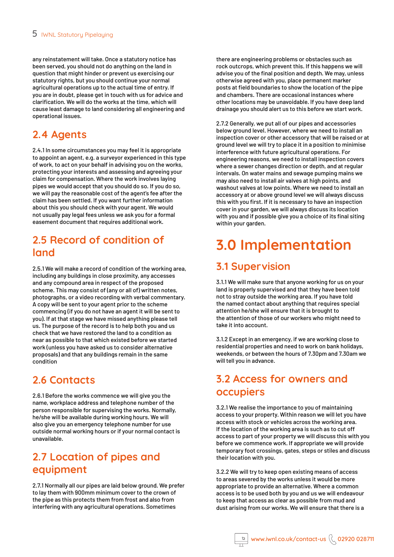any reinstatement will take. Once a statutory notice has been served, you should not do anything on the land in question that might hinder or prevent us exercising our statutory rights, but you should continue your normal agricultural operations up to the actual time of entry. If you are in doubt, please get in touch with us for advice and clarification. We will do the works at the time, which will cause least damage to land considering all engineering and operational issues.

# **2.4 Agents**

2.4.1 In some circumstances you may feel it is appropriate to appoint an agent, e.g. a surveyor experienced in this type of work, to act on your behalf in advising you on the works, protecting your interests and assessing and agreeing your claim for compensation. Where the work involves laying pipes we would accept that you should do so. If you do so, we will pay the reasonable cost of the agent's fee after the claim has been settled. If you want further information about this you should check with your agent. We would not usually pay legal fees unless we ask you for a formal easement document that requires additional work.

## **2.5 Record of condition of land**

2.5.1 We will make a record of condition of the working area, including any buildings in close proximity, any accesses and any compound area in respect of the proposed scheme. This may consist of (any or all of) written notes, photographs, or a video recording with verbal commentary. A copy will be sent to your agent prior to the scheme commencing (if you do not have an agent it will be sent to you). If at that stage we have missed anything please tell us. The purpose of the record is to help both you and us check that we have restored the land to a condition as near as possible to that which existed before we started work (unless you have asked us to consider alternative proposals) and that any buildings remain in the same condition

# **2.6 Contacts**

2.6.1 Before the works commence we will give you the name, workplace address and telephone number of the person responsible for supervising the works. Normally, he/she will be available during working hours. We will also give you an emergency telephone number for use outside normal working hours or if your normal contact is unavailable.

# **2.7 Location of pipes and equipment**

2.7.1 Normally all our pipes are laid below ground. We prefer to lay them with 900mm minimum cover to the crown of the pipe as this protects them from frost and also from interfering with any agricultural operations. Sometimes

there are engineering problems or obstacles such as rock outcrops, which prevent this. If this happens we will advise you of the final position and depth. We may, unless otherwise agreed with you, place permanent marker posts at field boundaries to show the location of the pipe and chambers. There are occasional instances where other locations may be unavoidable. If you have deep land drainage you should alert us to this before we start work.

2.7.2 Generally, we put all of our pipes and accessories below ground level. However, where we need to install an inspection cover or other accessory that will be raised or at ground level we will try to place it in a position to minimise interference with future agricultural operations. For engineering reasons, we need to install inspection covers where a sewer changes direction or depth, and at regular intervals. On water mains and sewage pumping mains we may also need to install air valves at high points, and washout valves at low points. Where we need to install an accessory at or above ground level we will always discuss this with you first. If it is necessary to have an inspection cover in your garden, we will always discuss its location with you and if possible give you a choice of its final siting within your garden.

# **3.0 Implementation**

# **3.1 Supervision**

3.1.1 We will make sure that anyone working for us on your land is properly supervised and that they have been told not to stray outside the working area. If you have told the named contact about anything that requires special attention he/she will ensure that it is brought to the attention of those of our workers who might need to take it into account.

3.1.2 Except in an emergency, if we are working close to residential properties and need to work on bank holidays, weekends, or between the hours of 7.30pm and 7.30am we will tell you in advance.

# **3.2 Access for owners and occupiers**

3.2.1 We realise the importance to you of maintaining access to your property. Within reason we will let you have access with stock or vehicles across the working area. If the location of the working area is such as to cut off access to part of your property we will discuss this with you before we commence work. If appropriate we will provide temporary foot crossings, gates, steps or stiles and discuss their location with you.

3.2.2 We will try to keep open existing means of access to areas severed by the works unless it would be more appropriate to provide an alternative. Where a common access is to be used both by you and us we will endeavour to keep that access as clear as possible from mud and dust arising from our works. We will ensure that there is a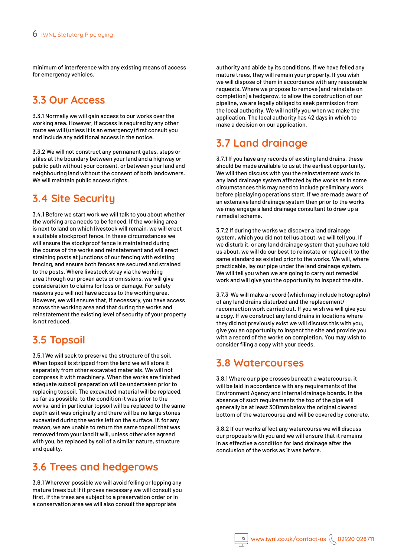minimum of interference with any existing means of access for emergency vehicles.

#### **3.3 Our Access**

3.3.1 Normally we will gain access to our works over the working area. However, if access is required by any other route we will (unless it is an emergency) first consult you and include any additional access in the notice.

3.3.2 We will not construct any permanent gates, steps or stiles at the boundary between your land and a highway or public path without your consent, or between your land and neighbouring land without the consent of both landowners. We will maintain public access rights.

# **3.4 Site Security**

3.4.1 Before we start work we will talk to you about whether the working area needs to be fenced. If the working area is next to land on which livestock will remain, we will erect a suitable stockproof fence. In these circumstances we will ensure the stockproof fence is maintained during the course of the works and reinstatement and will erect straining posts at junctions of our fencing with existing fencing, and ensure both fences are secured and strained to the posts. Where livestock stray via the working area through our proven acts or omissions, we will give consideration to claims for loss or damage. For safety reasons you will not have access to the working area. However, we will ensure that, if necessary, you have access across the working area and that during the works and reinstatement the existing level of security of your property is not reduced.

# **3.5 Topsoil**

3.5.1 We will seek to preserve the structure of the soil. When topsoil is stripped from the land we will store it separately from other excavated materials. We will not compress it with machinery. When the works are finished adequate subsoil preparation will be undertaken prior to replacing topsoil. The excavated material will be replaced, so far as possible, to the condition it was prior to the works, and in particular topsoil will be replaced to the same depth as it was originally and there will be no large stones excavated during the works left on the surface. If, for any reason, we are unable to return the same topsoil that was removed from your land it will, unless otherwise agreed with you, be replaced by soil of a similar nature, structure and quality.

### **3.6 Trees and hedgerows**

3.6.1 Wherever possible we will avoid felling or lopping any mature trees but if it proves necessary we will consult you first. If the trees are subject to a preservation order or in a conservation area we will also consult the appropriate

authority and abide by its conditions. If we have felled any mature trees, they will remain your property. If you wish we will dispose of them in accordance with any reasonable requests. Where we propose to remove (and reinstate on completion) a hedgerow, to allow the construction of our pipeline, we are legally obliged to seek permission from the local authority. We will notify you when we make the application. The local authority has 42 days in which to make a decision on our application.

# **3.7 Land drainage**

3.7.1 If you have any records of existing land drains, these should be made available to us at the earliest opportunity. We will then discuss with you the reinstatement work to any land drainage system affected by the works as in some circumstances this may need to include preliminary work before pipelaying operations start. If we are made aware of an extensive land drainage system then prior to the works we may engage a land drainage consultant to draw up a remedial scheme.

3.7.2 If during the works we discover a land drainage system, which you did not tell us about, we will tell you. If we disturb it, or any land drainage system that you have told us about, we will do our best to reinstate or replace it to the same standard as existed prior to the works. We will, where practicable, lay our pipe under the land drainage system. We will tell you when we are going to carry out remedial work and will give you the opportunity to inspect the site.

3.7.3 We will make a record (which may include hotographs) of any land drains disturbed and the replacement/ reconnection work carried out. If you wish we will give you a copy. If we construct any land drains in locations where they did not previously exist we will discuss this with you, give you an opportunity to inspect the site and provide you with a record of the works on completion. You may wish to consider filing a copy with your deeds.

### **3.8 Watercourses**

3.8.1 Where our pipe crosses beneath a watercourse, it will be laid in accordance with any requirements of the Environment Agency and internal drainage boards. In the absence of such requirements the top of the pipe will generally be at least 300mm below the original cleared bottom of the watercourse and will be covered by concrete.

3.8.2 If our works affect any watercourse we will discuss our proposals with you and we will ensure that it remains in as effective a condition for land drainage after the conclusion of the works as it was before.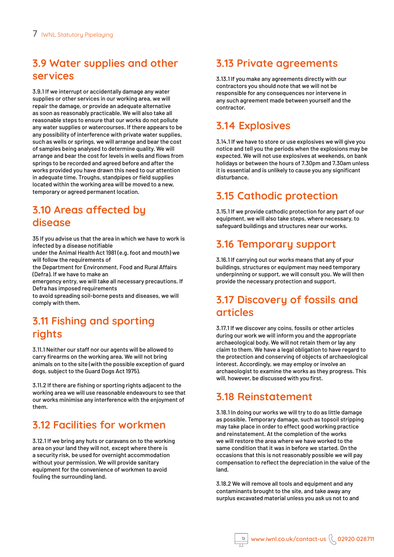# **3.9 Water supplies and other services**

3.9.1 If we interrupt or accidentally damage any water supplies or other services in our working area, we will repair the damage, or provide an adequate alternative as soon as reasonably practicable. We will also take all reasonable steps to ensure that our works do not pollute any water supplies or watercourses. If there appears to be any possibility of interference with private water supplies, such as wells or springs, we will arrange and bear the cost of samples being analysed to determine quality. We will arrange and bear the cost for levels in wells and flows from springs to be recorded and agreed before and after the works provided you have drawn this need to our attention in adequate time. Troughs, standpipes or field supplies located within the working area will be moved to a new, temporary or agreed permanent location.

#### **3.10 Areas affected by disease**

35 If you advise us that the area in which we have to work is infected by a disease notifiable

under the Animal Health Act 1981 (e.g. foot and mouth) we will follow the requirements of

the Department for Environment, Food and Rural Affairs (Defra). If we have to make an

emergency entry, we will take all necessary precautions. If Defra has imposed requirements

to avoid spreading soil-borne pests and diseases, we will comply with them.

# **3.11 Fishing and sporting rights**

3.11.1 Neither our staff nor our agents will be allowed to carry firearms on the working area. We will not bring animals on to the site (with the possible exception of guard dogs, subject to the Guard Dogs Act 1975).

3.11.2 If there are fishing or sporting rights adjacent to the working area we will use reasonable endeavours to see that our works minimise any interference with the enjoyment of them.

# **3.12 Facilities for workmen**

3.12.1 If we bring any huts or caravans on to the working area on your land they will not, except where there is a security risk, be used for overnight accommodation without your permission. We will provide sanitary equipment for the convenience of workmen to avoid fouling the surrounding land.

## **3.13 Private agreements**

3.13.1 If you make any agreements directly with our contractors you should note that we will not be responsible for any consequences nor intervene in any such agreement made between yourself and the contractor.

## **3.14 Explosives**

3.14.1 If we have to store or use explosives we will give you notice and tell you the periods when the explosions may be expected. We will not use explosives at weekends, on bank holidays or between the hours of 7.30pm and 7.30am unless it is essential and is unlikely to cause you any significant disturbance.

### **3.15 Cathodic protection**

3.15.1 If we provide cathodic protection for any part of our equipment, we will also take steps, where necessary, to safeguard buildings and structures near our works.

#### **3.16 Temporary support**

3.16.1 If carrying out our works means that any of your buildings, structures or equipment may need temporary underpinning or support, we will consult you. We will then provide the necessary protection and support.

### **3.17 Discovery of fossils and articles**

3.17.1 If we discover any coins, fossils or other articles during our work we will inform you and the appropriate archaeological body. We will not retain them or lay any claim to them. We have a legal obligation to have regard to the protection and conserving of objects of archaeological interest. Accordingly, we may employ or involve an archaeologist to examine the works as they progress. This will, however, be discussed with you first.

### **3.18 Reinstatement**

3.18.1 In doing our works we will try to do as little damage as possible. Temporary damage, such as topsoil stripping may take place in order to effect good working practice and reinstatement. At the completion of the works we will restore the area where we have worked to the same condition that it was in before we started. On the occasions that this is not reasonably possible we will pay compensation to reflect the depreciation in the value of the land.

3.18.2 We will remove all tools and equipment and any contaminants brought to the site, and take away any surplus excavated material unless you ask us not to and